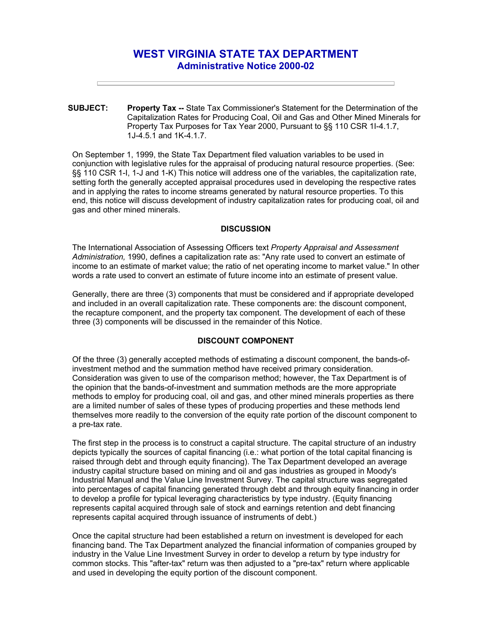# **WEST VIRGINIA STATE TAX DEPARTMENT Administrative Notice 2000-02**

**SUBJECT: Property Tax --** State Tax Commissioner's Statement for the Determination of the Capitalization Rates for Producing Coal, Oil and Gas and Other Mined Minerals for Property Tax Purposes for Tax Year 2000, Pursuant to §§ 110 CSR 1I-4.1.7, 1J-4.5.1 and 1K-4.1.7.

On September 1, 1999, the State Tax Department filed valuation variables to be used in conjunction with legislative rules for the appraisal of producing natural resource properties. (See: §§ 110 CSR 1-I, 1-J and 1-K) This notice will address one of the variables, the capitalization rate, setting forth the generally accepted appraisal procedures used in developing the respective rates and in applying the rates to income streams generated by natural resource properties. To this end, this notice will discuss development of industry capitalization rates for producing coal, oil and gas and other mined minerals.

#### **DISCUSSION**

The International Association of Assessing Officers text *Property Appraisal and Assessment Administration,* 1990, defines a capitalization rate as: "Any rate used to convert an estimate of income to an estimate of market value; the ratio of net operating income to market value." In other words a rate used to convert an estimate of future income into an estimate of present value.

Generally, there are three (3) components that must be considered and if appropriate developed and included in an overall capitalization rate. These components are: the discount component, the recapture component, and the property tax component. The development of each of these three (3) components will be discussed in the remainder of this Notice.

# **DISCOUNT COMPONENT**

Of the three (3) generally accepted methods of estimating a discount component, the bands-ofinvestment method and the summation method have received primary consideration. Consideration was given to use of the comparison method; however, the Tax Department is of the opinion that the bands-of-investment and summation methods are the more appropriate methods to employ for producing coal, oil and gas, and other mined minerals properties as there are a limited number of sales of these types of producing properties and these methods lend themselves more readily to the conversion of the equity rate portion of the discount component to a pre-tax rate.

The first step in the process is to construct a capital structure. The capital structure of an industry depicts typically the sources of capital financing (i.e.: what portion of the total capital financing is raised through debt and through equity financing). The Tax Department developed an average industry capital structure based on mining and oil and gas industries as grouped in Moody's Industrial Manual and the Value Line Investment Survey. The capital structure was segregated into percentages of capital financing generated through debt and through equity financing in order to develop a profile for typical leveraging characteristics by type industry. (Equity financing represents capital acquired through sale of stock and earnings retention and debt financing represents capital acquired through issuance of instruments of debt.)

Once the capital structure had been established a return on investment is developed for each financing band. The Tax Department analyzed the financial information of companies grouped by industry in the Value Line Investment Survey in order to develop a return by type industry for common stocks. This "after-tax" return was then adjusted to a "pre-tax" return where applicable and used in developing the equity portion of the discount component.